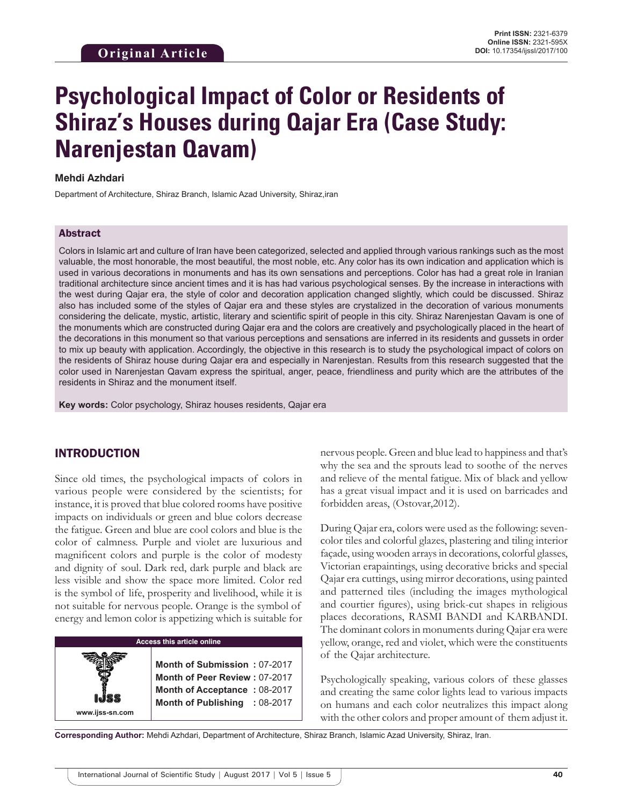# **Psychological Impact of Color or Residents of Shiraz's Houses during Qajar Era (Case Study: Narenjestan Qavam)**

#### **Mehdi Azhdari**

Department of Architecture, Shiraz Branch, Islamic Azad University, Shiraz,iran

#### Abstract

Colors in Islamic art and culture of Iran have been categorized, selected and applied through various rankings such as the most valuable, the most honorable, the most beautiful, the most noble, etc. Any color has its own indication and application which is used in various decorations in monuments and has its own sensations and perceptions. Color has had a great role in Iranian traditional architecture since ancient times and it is has had various psychological senses. By the increase in interactions with the west during Qajar era, the style of color and decoration application changed slightly, which could be discussed. Shiraz also has included some of the styles of Qajar era and these styles are crystalized in the decoration of various monuments considering the delicate, mystic, artistic, literary and scientific spirit of people in this city. Shiraz Narenjestan Qavam is one of the monuments which are constructed during Qajar era and the colors are creatively and psychologically placed in the heart of the decorations in this monument so that various perceptions and sensations are inferred in its residents and gussets in order to mix up beauty with application. Accordingly, the objective in this research is to study the psychological impact of colors on the residents of Shiraz house during Qajar era and especially in Narenjestan. Results from this research suggested that the color used in Narenjestan Qavam express the spiritual, anger, peace, friendliness and purity which are the attributes of the residents in Shiraz and the monument itself.

**Key words:** Color psychology, Shiraz houses residents, Qajar era

#### INTRODUCTION

Since old times, the psychological impacts of colors in various people were considered by the scientists; for instance, it is proved that blue colored rooms have positive impacts on individuals or green and blue colors decrease the fatigue. Green and blue are cool colors and blue is the color of calmness. Purple and violet are luxurious and magnificent colors and purple is the color of modesty and dignity of soul. Dark red, dark purple and black are less visible and show the space more limited. Color red is the symbol of life, prosperity and livelihood, while it is not suitable for nervous people. Orange is the symbol of energy and lemon color is appetizing which is suitable for

| <b>Access this article online</b> |                               |            |
|-----------------------------------|-------------------------------|------------|
|                                   |                               |            |
|                                   | Month of Submission: 07-2017  |            |
|                                   | Month of Peer Review: 07-2017 |            |
|                                   | Month of Acceptance: 08-2017  |            |
|                                   | <b>Month of Publishing</b>    | $:08-2017$ |
| www.ijss-sn.com                   |                               |            |

nervous people. Green and blue lead to happiness and that's why the sea and the sprouts lead to soothe of the nerves and relieve of the mental fatigue. Mix of black and yellow has a great visual impact and it is used on barricades and forbidden areas, (Ostovar,2012).

During Qajar era, colors were used as the following: sevencolor tiles and colorful glazes, plastering and tiling interior façade, using wooden arrays in decorations, colorful glasses, Victorian erapaintings, using decorative bricks and special Qajar era cuttings, using mirror decorations, using painted and patterned tiles (including the images mythological and courtier figures), using brick-cut shapes in religious places decorations, RASMI BANDI and KARBANDI. The dominant colors in monuments during Qajar era were yellow, orange, red and violet, which were the constituents of the Qajar architecture.

Psychologically speaking, various colors of these glasses and creating the same color lights lead to various impacts on humans and each color neutralizes this impact along with the other colors and proper amount of them adjust it.

**Corresponding Author:** Mehdi Azhdari, Department of Architecture, Shiraz Branch, Islamic Azad University, Shiraz, Iran.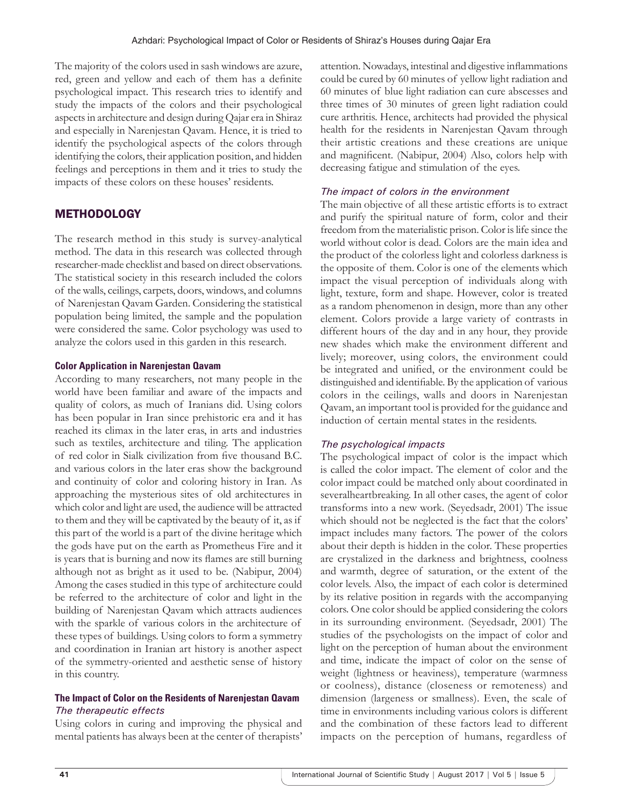The majority of the colors used in sash windows are azure, red, green and yellow and each of them has a definite psychological impact. This research tries to identify and study the impacts of the colors and their psychological aspects in architecture and design during Qajar era in Shiraz and especially in Narenjestan Qavam. Hence, it is tried to identify the psychological aspects of the colors through identifying the colors, their application position, and hidden feelings and perceptions in them and it tries to study the impacts of these colors on these houses' residents.

## **METHODOLOGY**

The research method in this study is survey-analytical method. The data in this research was collected through researcher-made checklist and based on direct observations. The statistical society in this research included the colors of the walls, ceilings, carpets, doors, windows, and columns of Narenjestan Qavam Garden. Considering the statistical population being limited, the sample and the population were considered the same. Color psychology was used to analyze the colors used in this garden in this research.

#### **Color Application in Narenjestan Qavam**

According to many researchers, not many people in the world have been familiar and aware of the impacts and quality of colors, as much of Iranians did. Using colors has been popular in Iran since prehistoric era and it has reached its climax in the later eras, in arts and industries such as textiles, architecture and tiling. The application of red color in Sialk civilization from five thousand B.C. and various colors in the later eras show the background and continuity of color and coloring history in Iran. As approaching the mysterious sites of old architectures in which color and light are used, the audience will be attracted to them and they will be captivated by the beauty of it, as if this part of the world is a part of the divine heritage which the gods have put on the earth as Prometheus Fire and it is years that is burning and now its flames are still burning although not as bright as it used to be. (Nabipur, 2004) Among the cases studied in this type of architecture could be referred to the architecture of color and light in the building of Narenjestan Qavam which attracts audiences with the sparkle of various colors in the architecture of these types of buildings. Using colors to form a symmetry and coordination in Iranian art history is another aspect of the symmetry-oriented and aesthetic sense of history in this country.

#### **The Impact of Color on the Residents of Narenjestan Qavam** *The therapeutic effects*

Using colors in curing and improving the physical and mental patients has always been at the center of therapists' attention. Nowadays, intestinal and digestive inflammations could be cured by 60 minutes of yellow light radiation and 60 minutes of blue light radiation can cure abscesses and three times of 30 minutes of green light radiation could cure arthritis. Hence, architects had provided the physical health for the residents in Narenjestan Qavam through their artistic creations and these creations are unique and magnificent. (Nabipur, 2004) Also, colors help with decreasing fatigue and stimulation of the eyes.

#### *The impact of colors in the environment*

The main objective of all these artistic efforts is to extract and purify the spiritual nature of form, color and their freedom from the materialistic prison. Color is life since the world without color is dead. Colors are the main idea and the product of the colorless light and colorless darkness is the opposite of them. Color is one of the elements which impact the visual perception of individuals along with light, texture, form and shape. However, color is treated as a random phenomenon in design, more than any other element. Colors provide a large variety of contrasts in different hours of the day and in any hour, they provide new shades which make the environment different and lively; moreover, using colors, the environment could be integrated and unified, or the environment could be distinguished and identifiable. By the application of various colors in the ceilings, walls and doors in Narenjestan Qavam, an important tool is provided for the guidance and induction of certain mental states in the residents.

#### *The psychological impacts*

The psychological impact of color is the impact which is called the color impact. The element of color and the color impact could be matched only about coordinated in severalheartbreaking. In all other cases, the agent of color transforms into a new work. (Seyedsadr, 2001) The issue which should not be neglected is the fact that the colors' impact includes many factors. The power of the colors about their depth is hidden in the color. These properties are crystalized in the darkness and brightness, coolness and warmth, degree of saturation, or the extent of the color levels. Also, the impact of each color is determined by its relative position in regards with the accompanying colors. One color should be applied considering the colors in its surrounding environment. (Seyedsadr, 2001) The studies of the psychologists on the impact of color and light on the perception of human about the environment and time, indicate the impact of color on the sense of weight (lightness or heaviness), temperature (warmness or coolness), distance (closeness or remoteness) and dimension (largeness or smallness). Even, the scale of time in environments including various colors is different and the combination of these factors lead to different impacts on the perception of humans, regardless of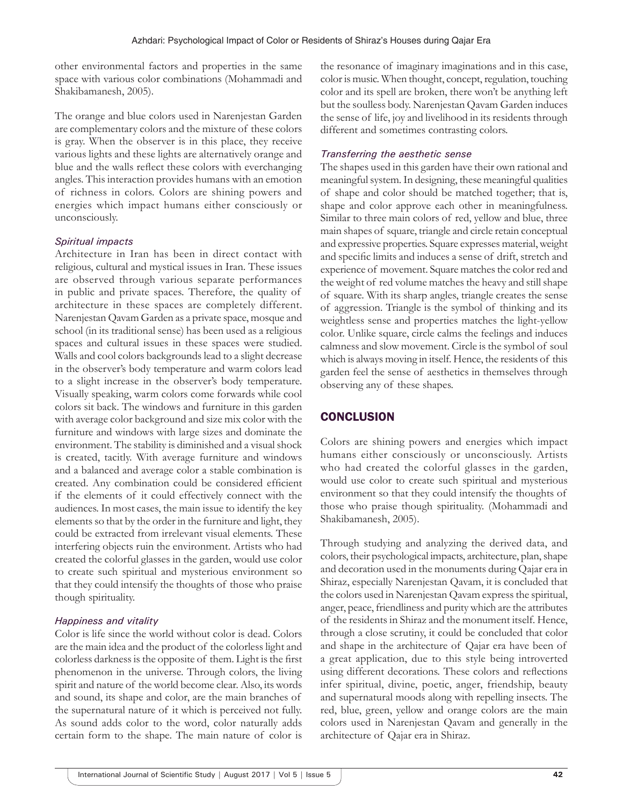other environmental factors and properties in the same space with various color combinations (Mohammadi and Shakibamanesh, 2005).

The orange and blue colors used in Narenjestan Garden are complementary colors and the mixture of these colors is gray. When the observer is in this place, they receive various lights and these lights are alternatively orange and blue and the walls reflect these colors with everchanging angles. This interaction provides humans with an emotion of richness in colors. Colors are shining powers and energies which impact humans either consciously or unconsciously.

#### *Spiritual impacts*

Architecture in Iran has been in direct contact with religious, cultural and mystical issues in Iran. These issues are observed through various separate performances in public and private spaces. Therefore, the quality of architecture in these spaces are completely different. Narenjestan Qavam Garden as a private space, mosque and school (in its traditional sense) has been used as a religious spaces and cultural issues in these spaces were studied. Walls and cool colors backgrounds lead to a slight decrease in the observer's body temperature and warm colors lead to a slight increase in the observer's body temperature. Visually speaking, warm colors come forwards while cool colors sit back. The windows and furniture in this garden with average color background and size mix color with the furniture and windows with large sizes and dominate the environment. The stability is diminished and a visual shock is created, tacitly. With average furniture and windows and a balanced and average color a stable combination is created. Any combination could be considered efficient if the elements of it could effectively connect with the audiences. In most cases, the main issue to identify the key elements so that by the order in the furniture and light, they could be extracted from irrelevant visual elements. These interfering objects ruin the environment. Artists who had created the colorful glasses in the garden, would use color to create such spiritual and mysterious environment so that they could intensify the thoughts of those who praise though spirituality.

#### *Happiness and vitality*

Color is life since the world without color is dead. Colors are the main idea and the product of the colorless light and colorless darkness is the opposite of them. Light is the first phenomenon in the universe. Through colors, the living spirit and nature of the world become clear. Also, its words and sound, its shape and color, are the main branches of the supernatural nature of it which is perceived not fully. As sound adds color to the word, color naturally adds certain form to the shape. The main nature of color is

the resonance of imaginary imaginations and in this case, color is music. When thought, concept, regulation, touching color and its spell are broken, there won't be anything left but the soulless body. Narenjestan Qavam Garden induces the sense of life, joy and livelihood in its residents through different and sometimes contrasting colors.

## *Transferring the aesthetic sense*

The shapes used in this garden have their own rational and meaningful system. In designing, these meaningful qualities of shape and color should be matched together; that is, shape and color approve each other in meaningfulness. Similar to three main colors of red, yellow and blue, three main shapes of square, triangle and circle retain conceptual and expressive properties. Square expresses material, weight and specific limits and induces a sense of drift, stretch and experience of movement. Square matches the color red and the weight of red volume matches the heavy and still shape of square. With its sharp angles, triangle creates the sense of aggression. Triangle is the symbol of thinking and its weightless sense and properties matches the light-yellow color. Unlike square, circle calms the feelings and induces calmness and slow movement. Circle is the symbol of soul which is always moving in itself. Hence, the residents of this garden feel the sense of aesthetics in themselves through observing any of these shapes.

# **CONCLUSION**

Colors are shining powers and energies which impact humans either consciously or unconsciously. Artists who had created the colorful glasses in the garden, would use color to create such spiritual and mysterious environment so that they could intensify the thoughts of those who praise though spirituality. (Mohammadi and Shakibamanesh, 2005).

Through studying and analyzing the derived data, and colors, their psychological impacts, architecture, plan, shape and decoration used in the monuments during Qajar era in Shiraz, especially Narenjestan Qavam, it is concluded that the colors used in Narenjestan Qavam express the spiritual, anger, peace, friendliness and purity which are the attributes of the residents in Shiraz and the monument itself. Hence, through a close scrutiny, it could be concluded that color and shape in the architecture of Qajar era have been of a great application, due to this style being introverted using different decorations. These colors and reflections infer spiritual, divine, poetic, anger, friendship, beauty and supernatural moods along with repelling insects. The red, blue, green, yellow and orange colors are the main colors used in Narenjestan Qavam and generally in the architecture of Qajar era in Shiraz.